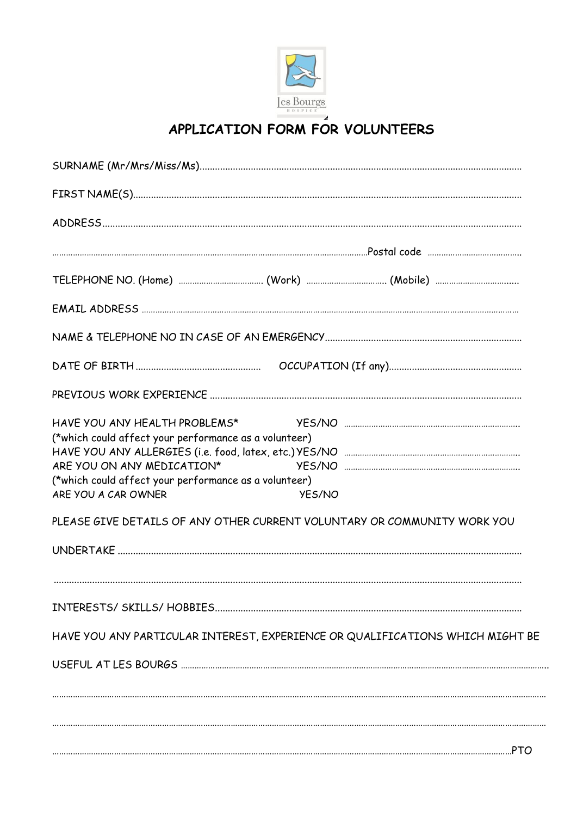

## APPLICATION FORM FOR VOLUNTEERS

| HAVE YOU ANY HEALTH PROBLEMS*<br>(*which could affect your performance as a volunteer)<br>ARE YOU ON ANY MEDICATION*<br>(*which could affect your performance as a volunteer)<br>ARE YOU A CAR OWNER<br><b>YES/NO</b> |  |  |  |  |
|-----------------------------------------------------------------------------------------------------------------------------------------------------------------------------------------------------------------------|--|--|--|--|
| PLEASE GIVE DETAILS OF ANY OTHER CURRENT VOLUNTARY OR COMMUNITY WORK YOU                                                                                                                                              |  |  |  |  |
|                                                                                                                                                                                                                       |  |  |  |  |
|                                                                                                                                                                                                                       |  |  |  |  |
| HAVE YOU ANY PARTICULAR INTEREST, EXPERIENCE OR QUALIFICATIONS WHICH MIGHT BE                                                                                                                                         |  |  |  |  |
|                                                                                                                                                                                                                       |  |  |  |  |
|                                                                                                                                                                                                                       |  |  |  |  |
|                                                                                                                                                                                                                       |  |  |  |  |
|                                                                                                                                                                                                                       |  |  |  |  |